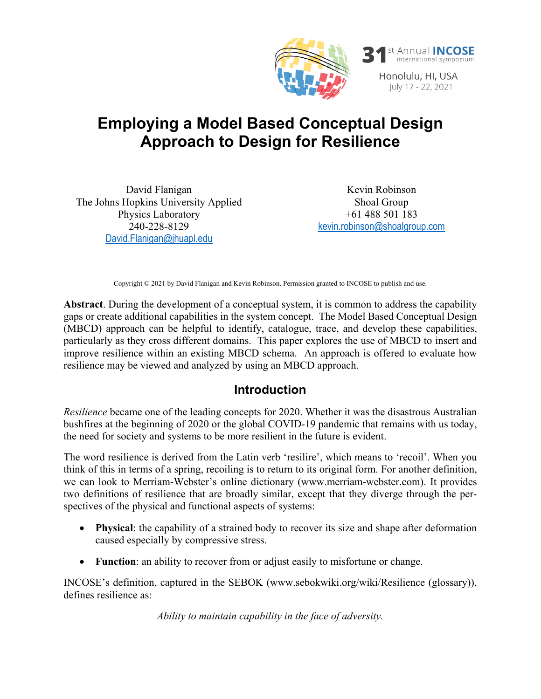

# **Employing a Model Based Conceptual Design Approach to Design for Resilience**

David Flanigan The Johns Hopkins University Applied Physics Laboratory 240-228-8129 [David.Flanigan@jhuapl.edu](mailto:author.one@gmail.com)

Kevin Robinson Shoal Group +61 488 501 183 [kevin.robinson@shoalgroup.com](mailto:kevin.robinson@shoalgroup.com)

Copyright © 2021 by David Flanigan and Kevin Robinson. Permission granted to INCOSE to publish and use.

**Abstract**. During the development of a conceptual system, it is common to address the capability gaps or create additional capabilities in the system concept. The Model Based Conceptual Design (MBCD) approach can be helpful to identify, catalogue, trace, and develop these capabilities, particularly as they cross different domains. This paper explores the use of MBCD to insert and improve resilience within an existing MBCD schema. An approach is offered to evaluate how resilience may be viewed and analyzed by using an MBCD approach.

#### **Introduction**

*Resilience* became one of the leading concepts for 2020. Whether it was the disastrous Australian bushfires at the beginning of 2020 or the global COVID-19 pandemic that remains with us today, the need for society and systems to be more resilient in the future is evident.

The word resilience is derived from the Latin verb 'resilire', which means to 'recoil'. When you think of this in terms of a spring, recoiling is to return to its original form. For another definition, we can look to Merriam-Webster's online dictionary (www.merriam-webster.com). It provides two definitions of resilience that are broadly similar, except that they diverge through the perspectives of the physical and functional aspects of systems:

- **Physical**: the capability of a strained body to recover its size and shape after deformation caused especially by compressive stress.
- **Function**: an ability to recover from or adjust easily to misfortune or change.

INCOSE's definition, captured in the SEBOK (www.sebokwiki.org/wiki/Resilience (glossary)), defines resilience as:

*Ability to maintain capability in the face of adversity.*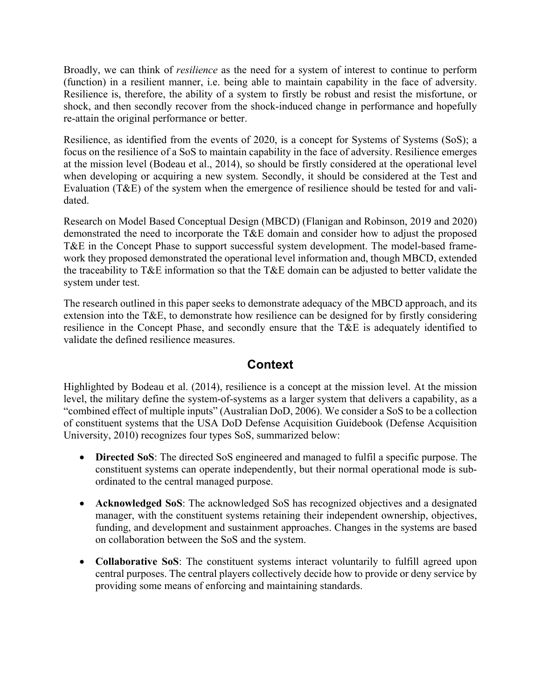Broadly, we can think of *resilience* as the need for a system of interest to continue to perform (function) in a resilient manner, i.e. being able to maintain capability in the face of adversity. Resilience is, therefore, the ability of a system to firstly be robust and resist the misfortune, or shock, and then secondly recover from the shock-induced change in performance and hopefully re-attain the original performance or better.

Resilience, as identified from the events of 2020, is a concept for Systems of Systems (SoS); a focus on the resilience of a SoS to maintain capability in the face of adversity. Resilience emerges at the mission level (Bodeau et al., 2014), so should be firstly considered at the operational level when developing or acquiring a new system. Secondly, it should be considered at the Test and Evaluation (T&E) of the system when the emergence of resilience should be tested for and validated.

Research on Model Based Conceptual Design (MBCD) (Flanigan and Robinson, 2019 and 2020) demonstrated the need to incorporate the T&E domain and consider how to adjust the proposed T&E in the Concept Phase to support successful system development. The model-based framework they proposed demonstrated the operational level information and, though MBCD, extended the traceability to T&E information so that the T&E domain can be adjusted to better validate the system under test.

The research outlined in this paper seeks to demonstrate adequacy of the MBCD approach, and its extension into the T&E, to demonstrate how resilience can be designed for by firstly considering resilience in the Concept Phase, and secondly ensure that the T&E is adequately identified to validate the defined resilience measures.

### **Context**

Highlighted by Bodeau et al. (2014), resilience is a concept at the mission level. At the mission level, the military define the system-of-systems as a larger system that delivers a capability, as a "combined effect of multiple inputs" (Australian DoD, 2006). We consider a SoS to be a collection of constituent systems that the USA DoD Defense Acquisition Guidebook (Defense Acquisition University, 2010) recognizes four types SoS, summarized below:

- **Directed SoS**: The directed SoS engineered and managed to fulfil a specific purpose. The constituent systems can operate independently, but their normal operational mode is subordinated to the central managed purpose.
- **Acknowledged SoS**: The acknowledged SoS has recognized objectives and a designated manager, with the constituent systems retaining their independent ownership, objectives, funding, and development and sustainment approaches. Changes in the systems are based on collaboration between the SoS and the system.
- **Collaborative SoS**: The constituent systems interact voluntarily to fulfill agreed upon central purposes. The central players collectively decide how to provide or deny service by providing some means of enforcing and maintaining standards.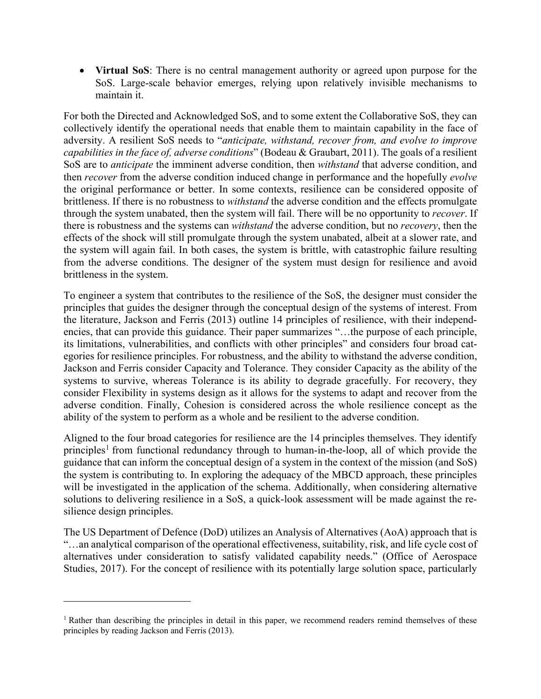• **Virtual SoS**: There is no central management authority or agreed upon purpose for the SoS. Large-scale behavior emerges, relying upon relatively invisible mechanisms to maintain it.

For both the Directed and Acknowledged SoS, and to some extent the Collaborative SoS, they can collectively identify the operational needs that enable them to maintain capability in the face of adversity. A resilient SoS needs to "*anticipate, withstand, recover from, and evolve to improve capabilities in the face of, adverse conditions*" (Bodeau & Graubart, 2011). The goals of a resilient SoS are to *anticipate* the imminent adverse condition, then *withstand* that adverse condition, and then *recover* from the adverse condition induced change in performance and the hopefully *evolve* the original performance or better. In some contexts, resilience can be considered opposite of brittleness. If there is no robustness to *withstand* the adverse condition and the effects promulgate through the system unabated, then the system will fail. There will be no opportunity to *recover*. If there is robustness and the systems can *withstand* the adverse condition, but no *recovery*, then the effects of the shock will still promulgate through the system unabated, albeit at a slower rate, and the system will again fail. In both cases, the system is brittle, with catastrophic failure resulting from the adverse conditions. The designer of the system must design for resilience and avoid brittleness in the system.

To engineer a system that contributes to the resilience of the SoS, the designer must consider the principles that guides the designer through the conceptual design of the systems of interest. From the literature, Jackson and Ferris (2013) outline 14 principles of resilience, with their independencies, that can provide this guidance. Their paper summarizes "…the purpose of each principle, its limitations, vulnerabilities, and conflicts with other principles" and considers four broad categories for resilience principles. For robustness, and the ability to withstand the adverse condition, Jackson and Ferris consider Capacity and Tolerance. They consider Capacity as the ability of the systems to survive, whereas Tolerance is its ability to degrade gracefully. For recovery, they consider Flexibility in systems design as it allows for the systems to adapt and recover from the adverse condition. Finally, Cohesion is considered across the whole resilience concept as the ability of the system to perform as a whole and be resilient to the adverse condition.

Aligned to the four broad categories for resilience are the 14 principles themselves. They identify principles<sup>[1](#page-2-0)</sup> from functional redundancy through to human-in-the-loop, all of which provide the guidance that can inform the conceptual design of a system in the context of the mission (and SoS) the system is contributing to. In exploring the adequacy of the MBCD approach, these principles will be investigated in the application of the schema. Additionally, when considering alternative solutions to delivering resilience in a SoS, a quick-look assessment will be made against the resilience design principles.

The US Department of Defence (DoD) utilizes an Analysis of Alternatives (AoA) approach that is "…an analytical comparison of the operational effectiveness, suitability, risk, and life cycle cost of alternatives under consideration to satisfy validated capability needs." (Office of Aerospace Studies, 2017). For the concept of resilience with its potentially large solution space, particularly

 $\overline{a}$ 

<span id="page-2-0"></span><sup>&</sup>lt;sup>1</sup> Rather than describing the principles in detail in this paper, we recommend readers remind themselves of these principles by reading Jackson and Ferris (2013).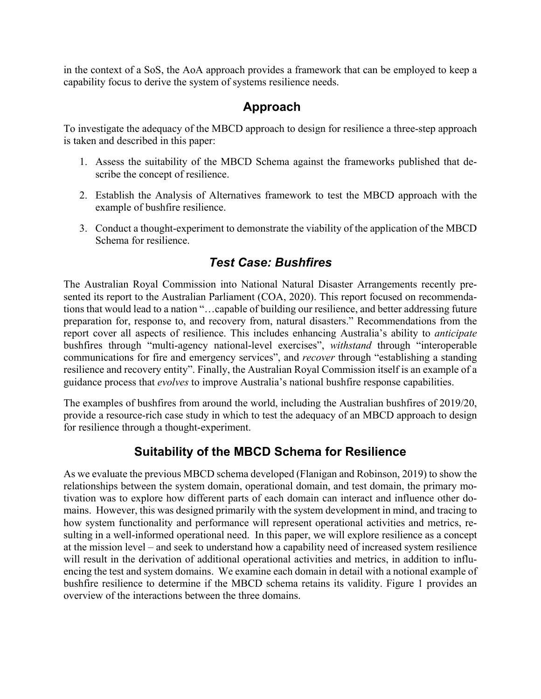in the context of a SoS, the AoA approach provides a framework that can be employed to keep a capability focus to derive the system of systems resilience needs.

### **Approach**

To investigate the adequacy of the MBCD approach to design for resilience a three-step approach is taken and described in this paper:

- 1. Assess the suitability of the MBCD Schema against the frameworks published that describe the concept of resilience.
- 2. Establish the Analysis of Alternatives framework to test the MBCD approach with the example of bushfire resilience.
- 3. Conduct a thought-experiment to demonstrate the viability of the application of the MBCD Schema for resilience.

### *Test Case: Bushfires*

The Australian Royal Commission into National Natural Disaster Arrangements recently presented its report to the Australian Parliament (COA, 2020). This report focused on recommendations that would lead to a nation "…capable of building our resilience, and better addressing future preparation for, response to, and recovery from, natural disasters." Recommendations from the report cover all aspects of resilience. This includes enhancing Australia's ability to *anticipate* bushfires through "multi-agency national-level exercises", *withstand* through "interoperable communications for fire and emergency services", and *recover* through "establishing a standing resilience and recovery entity". Finally, the Australian Royal Commission itself is an example of a guidance process that *evolves* to improve Australia's national bushfire response capabilities.

The examples of bushfires from around the world, including the Australian bushfires of 2019/20, provide a resource-rich case study in which to test the adequacy of an MBCD approach to design for resilience through a thought-experiment.

#### **Suitability of the MBCD Schema for Resilience**

As we evaluate the previous MBCD schema developed (Flanigan and Robinson, 2019) to show the relationships between the system domain, operational domain, and test domain, the primary motivation was to explore how different parts of each domain can interact and influence other domains. However, this was designed primarily with the system development in mind, and tracing to how system functionality and performance will represent operational activities and metrics, resulting in a well-informed operational need. In this paper, we will explore resilience as a concept at the mission level – and seek to understand how a capability need of increased system resilience will result in the derivation of additional operational activities and metrics, in addition to influencing the test and system domains. We examine each domain in detail with a notional example of bushfire resilience to determine if the MBCD schema retains its validity. Figure 1 provides an overview of the interactions between the three domains.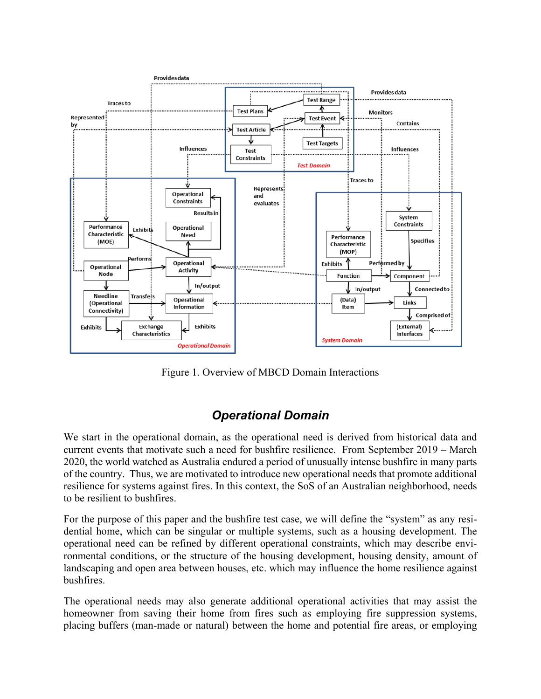

Figure 1. Overview of MBCD Domain Interactions

### *Operational Domain*

We start in the operational domain, as the operational need is derived from historical data and current events that motivate such a need for bushfire resilience. From September 2019 – March 2020, the world watched as Australia endured a period of unusually intense bushfire in many parts of the country. Thus, we are motivated to introduce new operational needs that promote additional resilience for systems against fires. In this context, the SoS of an Australian neighborhood, needs to be resilient to bushfires.

For the purpose of this paper and the bushfire test case, we will define the "system" as any residential home, which can be singular or multiple systems, such as a housing development. The operational need can be refined by different operational constraints, which may describe environmental conditions, or the structure of the housing development, housing density, amount of landscaping and open area between houses, etc. which may influence the home resilience against bushfires.

The operational needs may also generate additional operational activities that may assist the homeowner from saving their home from fires such as employing fire suppression systems, placing buffers (man-made or natural) between the home and potential fire areas, or employing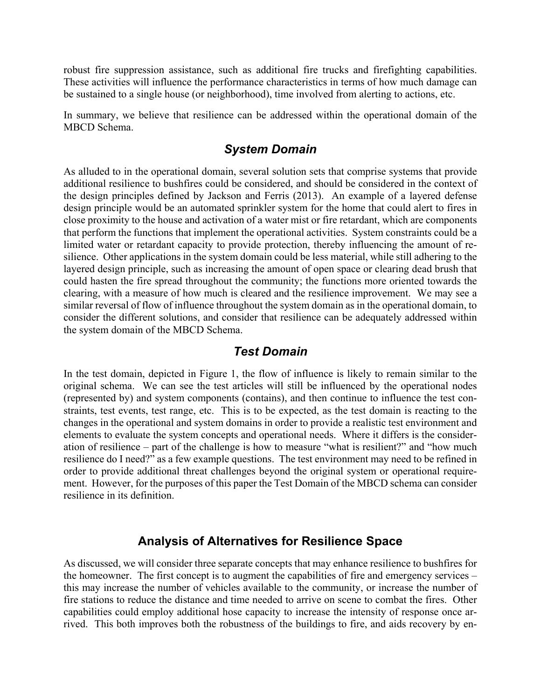robust fire suppression assistance, such as additional fire trucks and firefighting capabilities. These activities will influence the performance characteristics in terms of how much damage can be sustained to a single house (or neighborhood), time involved from alerting to actions, etc.

In summary, we believe that resilience can be addressed within the operational domain of the MBCD Schema.

#### *System Domain*

As alluded to in the operational domain, several solution sets that comprise systems that provide additional resilience to bushfires could be considered, and should be considered in the context of the design principles defined by Jackson and Ferris (2013). An example of a layered defense design principle would be an automated sprinkler system for the home that could alert to fires in close proximity to the house and activation of a water mist or fire retardant, which are components that perform the functions that implement the operational activities. System constraints could be a limited water or retardant capacity to provide protection, thereby influencing the amount of resilience. Other applications in the system domain could be less material, while still adhering to the layered design principle, such as increasing the amount of open space or clearing dead brush that could hasten the fire spread throughout the community; the functions more oriented towards the clearing, with a measure of how much is cleared and the resilience improvement. We may see a similar reversal of flow of influence throughout the system domain as in the operational domain, to consider the different solutions, and consider that resilience can be adequately addressed within the system domain of the MBCD Schema.

#### *Test Domain*

In the test domain, depicted in Figure 1, the flow of influence is likely to remain similar to the original schema. We can see the test articles will still be influenced by the operational nodes (represented by) and system components (contains), and then continue to influence the test constraints, test events, test range, etc. This is to be expected, as the test domain is reacting to the changes in the operational and system domains in order to provide a realistic test environment and elements to evaluate the system concepts and operational needs. Where it differs is the consideration of resilience – part of the challenge is how to measure "what is resilient?" and "how much resilience do I need?" as a few example questions. The test environment may need to be refined in order to provide additional threat challenges beyond the original system or operational requirement. However, for the purposes of this paper the Test Domain of the MBCD schema can consider resilience in its definition.

#### **Analysis of Alternatives for Resilience Space**

As discussed, we will consider three separate concepts that may enhance resilience to bushfires for the homeowner. The first concept is to augment the capabilities of fire and emergency services – this may increase the number of vehicles available to the community, or increase the number of fire stations to reduce the distance and time needed to arrive on scene to combat the fires. Other capabilities could employ additional hose capacity to increase the intensity of response once arrived. This both improves both the robustness of the buildings to fire, and aids recovery by en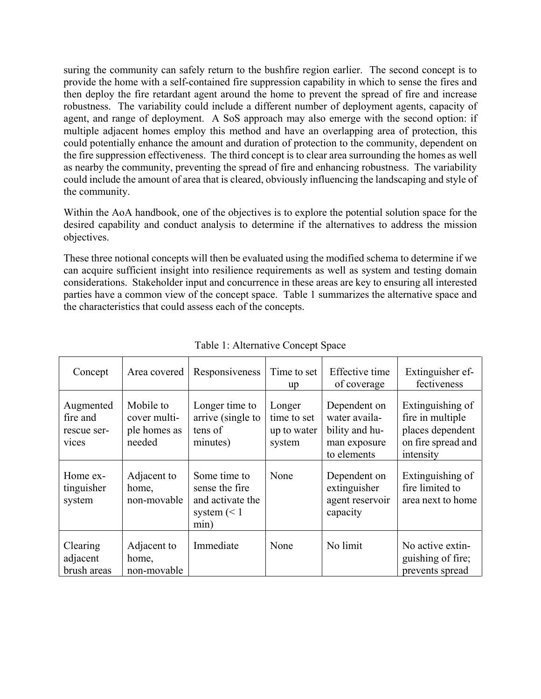suring the community can safely return to the bushfire region earlier. The second concept is to provide the home with a self-contained fire suppression capability in which to sense the fires and then deploy the fire retardant agent around the home to prevent the spread of fire and increase robustness. The variability could include a different number of deployment agents, capacity of agent, and range of deployment. A SoS approach may also emerge with the second option: if multiple adjacent homes employ this method and have an overlapping area of protection, this could potentially enhance the amount and duration of protection to the community, dependent on the fire suppression effectiveness. The third concept is to clear area surrounding the homes as well as nearby the community, preventing the spread of fire and enhancing robustness. The variability could include the amount of area that is cleared, obviously influencing the landscaping and style of the community.

Within the AoA handbook, one of the objectives is to explore the potential solution space for the desired capability and conduct analysis to determine if the alternatives to address the mission objectives.

These three notional concepts will then be evaluated using the modified schema to determine if we can acquire sufficient insight into resilience requirements as well as system and testing domain considerations. Stakeholder input and concurrence in these areas are key to ensuring all interested parties have a common view of the concept space. Table 1 summarizes the alternative space and the characteristics that could assess each of the concepts.

| Concept                                       | Area covered                                        | Responsiveness                                                              | Time to set<br>up                              | Effective time<br>of coverage                                                  | Extinguisher ef-<br>fectiveness                                                             |
|-----------------------------------------------|-----------------------------------------------------|-----------------------------------------------------------------------------|------------------------------------------------|--------------------------------------------------------------------------------|---------------------------------------------------------------------------------------------|
| Augmented<br>fire and<br>rescue ser-<br>vices | Mobile to<br>cover multi-<br>ple homes as<br>needed | Longer time to<br>arrive (single to<br>tens of<br>minutes)                  | Longer<br>time to set<br>up to water<br>system | Dependent on<br>water availa-<br>bility and hu-<br>man exposure<br>to elements | Extinguishing of<br>fire in multiple<br>places dependent<br>on fire spread and<br>intensity |
| Home ex-<br>tinguisher<br>system              | Adjacent to<br>home,<br>non-movable                 | Some time to<br>sense the fire<br>and activate the<br>system $(< 1$<br>min) | None                                           | Dependent on<br>extinguisher<br>agent reservoir<br>capacity                    | Extinguishing of<br>fire limited to<br>area next to home                                    |
| Clearing<br>adjacent<br>brush areas           | Adjacent to<br>home,<br>non-movable                 | Immediate                                                                   | None                                           | No limit                                                                       | No active extin-<br>guishing of fire;<br>prevents spread                                    |

Table 1: Alternative Concept Space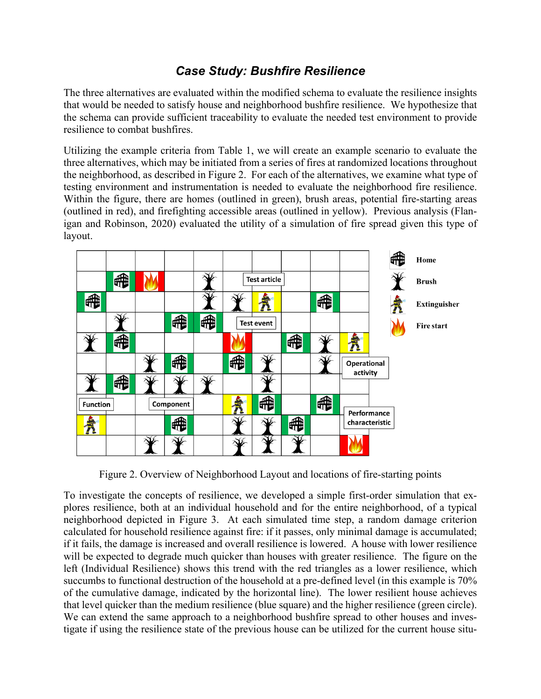### *Case Study: Bushfire Resilience*

The three alternatives are evaluated within the modified schema to evaluate the resilience insights that would be needed to satisfy house and neighborhood bushfire resilience. We hypothesize that the schema can provide sufficient traceability to evaluate the needed test environment to provide resilience to combat bushfires.

Utilizing the example criteria from Table 1, we will create an example scenario to evaluate the three alternatives, which may be initiated from a series of fires at randomized locations throughout the neighborhood, as described in Figure 2. For each of the alternatives, we examine what type of testing environment and instrumentation is needed to evaluate the neighborhood fire resilience. Within the figure, there are homes (outlined in green), brush areas, potential fire-starting areas (outlined in red), and firefighting accessible areas (outlined in yellow). Previous analysis (Flanigan and Robinson, 2020) evaluated the utility of a simulation of fire spread given this type of layout.



Figure 2. Overview of Neighborhood Layout and locations of fire-starting points

To investigate the concepts of resilience, we developed a simple first-order simulation that explores resilience, both at an individual household and for the entire neighborhood, of a typical neighborhood depicted in Figure 3. At each simulated time step, a random damage criterion calculated for household resilience against fire: if it passes, only minimal damage is accumulated; if it fails, the damage is increased and overall resilience is lowered. A house with lower resilience will be expected to degrade much quicker than houses with greater resilience. The figure on the left (Individual Resilience) shows this trend with the red triangles as a lower resilience, which succumbs to functional destruction of the household at a pre-defined level (in this example is 70% of the cumulative damage, indicated by the horizontal line). The lower resilient house achieves that level quicker than the medium resilience (blue square) and the higher resilience (green circle). We can extend the same approach to a neighborhood bushfire spread to other houses and investigate if using the resilience state of the previous house can be utilized for the current house situ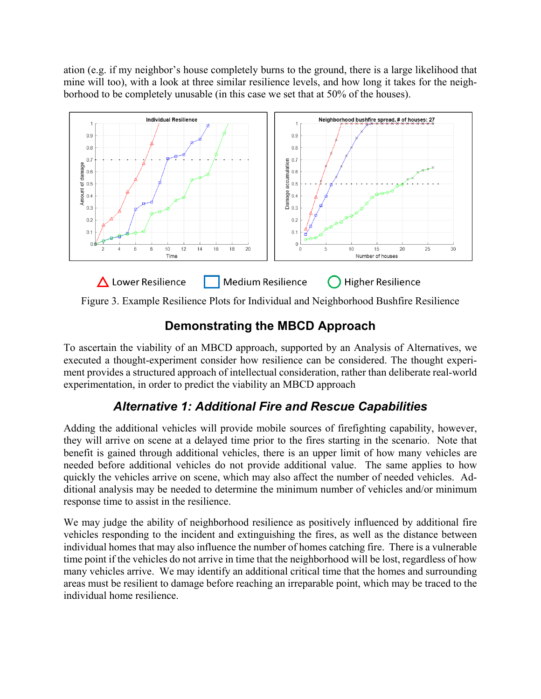ation (e.g. if my neighbor's house completely burns to the ground, there is a large likelihood that mine will too), with a look at three similar resilience levels, and how long it takes for the neighborhood to be completely unusable (in this case we set that at 50% of the houses).



Figure 3. Example Resilience Plots for Individual and Neighborhood Bushfire Resilience

# **Demonstrating the MBCD Approach**

To ascertain the viability of an MBCD approach, supported by an Analysis of Alternatives, we executed a thought-experiment consider how resilience can be considered. The thought experiment provides a structured approach of intellectual consideration, rather than deliberate real-world experimentation, in order to predict the viability an MBCD approach

## *Alternative 1: Additional Fire and Rescue Capabilities*

Adding the additional vehicles will provide mobile sources of firefighting capability, however, they will arrive on scene at a delayed time prior to the fires starting in the scenario. Note that benefit is gained through additional vehicles, there is an upper limit of how many vehicles are needed before additional vehicles do not provide additional value. The same applies to how quickly the vehicles arrive on scene, which may also affect the number of needed vehicles. Additional analysis may be needed to determine the minimum number of vehicles and/or minimum response time to assist in the resilience.

We may judge the ability of neighborhood resilience as positively influenced by additional fire vehicles responding to the incident and extinguishing the fires, as well as the distance between individual homes that may also influence the number of homes catching fire. There is a vulnerable time point if the vehicles do not arrive in time that the neighborhood will be lost, regardless of how many vehicles arrive. We may identify an additional critical time that the homes and surrounding areas must be resilient to damage before reaching an irreparable point, which may be traced to the individual home resilience.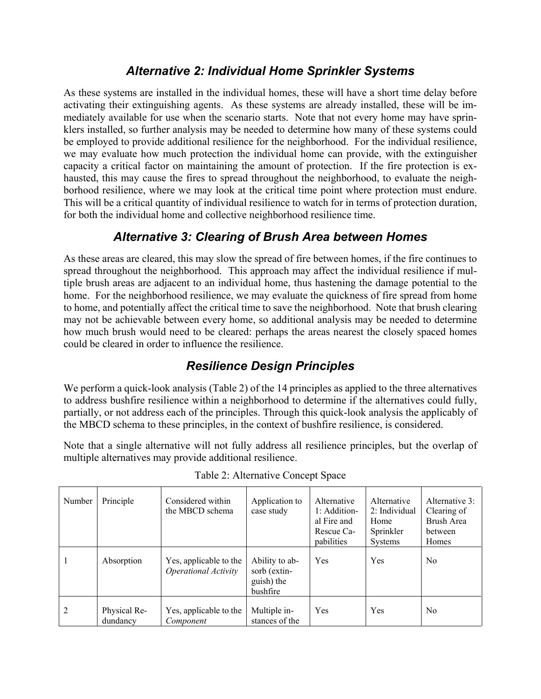### *Alternative 2: Individual Home Sprinkler Systems*

As these systems are installed in the individual homes, these will have a short time delay before activating their extinguishing agents. As these systems are already installed, these will be immediately available for use when the scenario starts. Note that not every home may have sprinklers installed, so further analysis may be needed to determine how many of these systems could be employed to provide additional resilience for the neighborhood. For the individual resilience, we may evaluate how much protection the individual home can provide, with the extinguisher capacity a critical factor on maintaining the amount of protection. If the fire protection is exhausted, this may cause the fires to spread throughout the neighborhood, to evaluate the neighborhood resilience, where we may look at the critical time point where protection must endure. This will be a critical quantity of individual resilience to watch for in terms of protection duration, for both the individual home and collective neighborhood resilience time.

### *Alternative 3: Clearing of Brush Area between Homes*

As these areas are cleared, this may slow the spread of fire between homes, if the fire continues to spread throughout the neighborhood. This approach may affect the individual resilience if multiple brush areas are adjacent to an individual home, thus hastening the damage potential to the home. For the neighborhood resilience, we may evaluate the quickness of fire spread from home to home, and potentially affect the critical time to save the neighborhood. Note that brush clearing may not be achievable between every home, so additional analysis may be needed to determine how much brush would need to be cleared: perhaps the areas nearest the closely spaced homes could be cleared in order to influence the resilience.

### *Resilience Design Principles*

We perform a quick-look analysis (Table 2) of the 14 principles as applied to the three alternatives to address bushfire resilience within a neighborhood to determine if the alternatives could fully, partially, or not address each of the principles. Through this quick-look analysis the applicably of the MBCD schema to these principles, in the context of bushfire resilience, is considered.

Note that a single alternative will not fully address all resilience principles, but the overlap of multiple alternatives may provide additional resilience.

| Number | Principle                | Considered within<br>the MBCD schema                  | Application to<br>case study                             | Alternative<br>1: Addition-<br>al Fire and<br>Rescue Ca-<br>pabilities | Alternative<br>2: Individual<br>Home<br>Sprinkler<br><b>Systems</b> | Alternative 3:<br>Clearing of<br>Brush Area<br>between<br>Homes |
|--------|--------------------------|-------------------------------------------------------|----------------------------------------------------------|------------------------------------------------------------------------|---------------------------------------------------------------------|-----------------------------------------------------------------|
| 1      | Absorption               | Yes, applicable to the<br><b>Operational Activity</b> | Ability to ab-<br>sorb (extin-<br>guish) the<br>bushfire | Yes                                                                    | Yes                                                                 | N <sub>0</sub>                                                  |
| 2      | Physical Re-<br>dundancy | Yes, applicable to the<br>Component                   | Multiple in-<br>stances of the                           | Yes                                                                    | Yes                                                                 | N <sub>0</sub>                                                  |

Table 2: Alternative Concept Space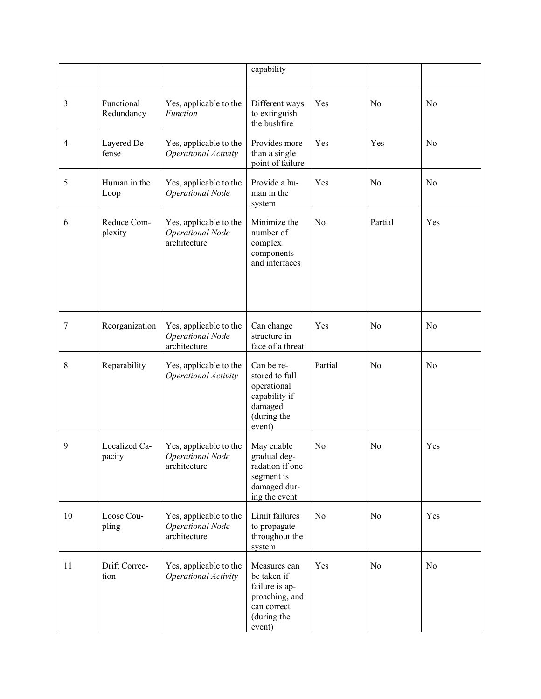|    |                          |                                                                   | capability                                                                                              |         |         |     |
|----|--------------------------|-------------------------------------------------------------------|---------------------------------------------------------------------------------------------------------|---------|---------|-----|
| 3  | Functional<br>Redundancy | Yes, applicable to the<br><b>Function</b>                         | Different ways<br>to extinguish<br>the bushfire                                                         | Yes     | No      | No  |
| 4  | Layered De-<br>fense     | Yes, applicable to the<br>Operational Activity                    | Provides more<br>than a single<br>point of failure                                                      | Yes     | Yes     | No  |
| 5  | Human in the<br>Loop     | Yes, applicable to the<br><b>Operational Node</b>                 | Provide a hu-<br>man in the<br>system                                                                   | Yes     | No      | No  |
| 6  | Reduce Com-<br>plexity   | Yes, applicable to the<br><b>Operational Node</b><br>architecture | Minimize the<br>number of<br>complex<br>components<br>and interfaces                                    | No      | Partial | Yes |
| 7  | Reorganization           | Yes, applicable to the<br><b>Operational Node</b><br>architecture | Can change<br>structure in<br>face of a threat                                                          | Yes     | No      | No  |
| 8  | Reparability             | Yes, applicable to the<br>Operational Activity                    | Can be re-<br>stored to full<br>operational<br>capability if<br>damaged<br>(during the<br>event)        | Partial | No      | No  |
| 9  | Localized Ca-<br>pacity  | Yes, applicable to the<br><b>Operational Node</b><br>architecture | May enable<br>gradual deg-<br>radation if one<br>segment is<br>damaged dur-<br>ing the event            | No      | No      | Yes |
| 10 | Loose Cou-<br>pling      | Yes, applicable to the<br><b>Operational Node</b><br>architecture | Limit failures<br>to propagate<br>throughout the<br>system                                              | No      | No      | Yes |
| 11 | Drift Correc-<br>tion    | Yes, applicable to the<br>Operational Activity                    | Measures can<br>be taken if<br>failure is ap-<br>proaching, and<br>can correct<br>(during the<br>event) | Yes     | No      | No  |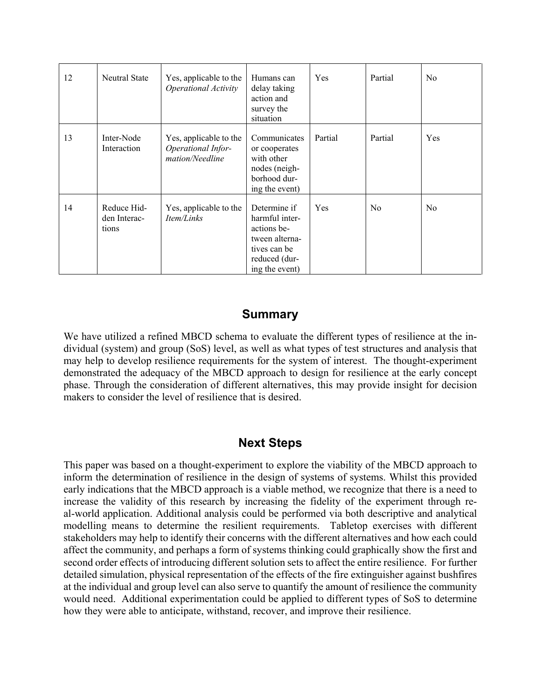| 12 | Neutral State                        | Yes, applicable to the<br>Operational Activity                  | Humans can<br>delay taking<br>action and<br>survey the<br>situation                                                | Yes     | Partial | N <sub>o</sub> |
|----|--------------------------------------|-----------------------------------------------------------------|--------------------------------------------------------------------------------------------------------------------|---------|---------|----------------|
| 13 | Inter-Node<br>Interaction            | Yes, applicable to the<br>Operational Infor-<br>mation/Needline | Communicates<br>or cooperates<br>with other<br>nodes (neigh-<br>borhood dur-<br>ing the event)                     | Partial | Partial | Yes            |
| 14 | Reduce Hid-<br>den Interac-<br>tions | Yes, applicable to the<br>Item/Links                            | Determine if<br>harmful inter-<br>actions be-<br>tween alterna-<br>tives can be<br>reduced (dur-<br>ing the event) | Yes     | No      | N <sub>o</sub> |

#### **Summary**

We have utilized a refined MBCD schema to evaluate the different types of resilience at the individual (system) and group (SoS) level, as well as what types of test structures and analysis that may help to develop resilience requirements for the system of interest. The thought-experiment demonstrated the adequacy of the MBCD approach to design for resilience at the early concept phase. Through the consideration of different alternatives, this may provide insight for decision makers to consider the level of resilience that is desired.

#### **Next Steps**

This paper was based on a thought-experiment to explore the viability of the MBCD approach to inform the determination of resilience in the design of systems of systems. Whilst this provided early indications that the MBCD approach is a viable method, we recognize that there is a need to increase the validity of this research by increasing the fidelity of the experiment through real-world application. Additional analysis could be performed via both descriptive and analytical modelling means to determine the resilient requirements. Tabletop exercises with different stakeholders may help to identify their concerns with the different alternatives and how each could affect the community, and perhaps a form of systems thinking could graphically show the first and second order effects of introducing different solution sets to affect the entire resilience. For further detailed simulation, physical representation of the effects of the fire extinguisher against bushfires at the individual and group level can also serve to quantify the amount of resilience the community would need. Additional experimentation could be applied to different types of SoS to determine how they were able to anticipate, withstand, recover, and improve their resilience.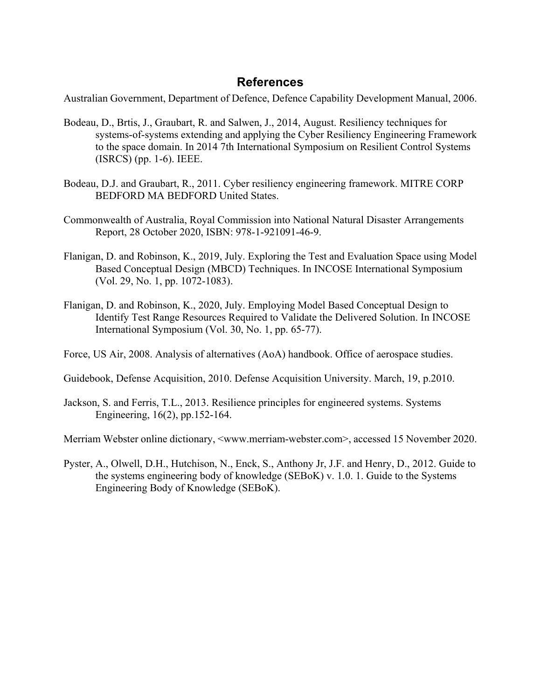#### **References**

Australian Government, Department of Defence, Defence Capability Development Manual, 2006.

- Bodeau, D., Brtis, J., Graubart, R. and Salwen, J., 2014, August. Resiliency techniques for systems-of-systems extending and applying the Cyber Resiliency Engineering Framework to the space domain. In 2014 7th International Symposium on Resilient Control Systems (ISRCS) (pp. 1-6). IEEE.
- Bodeau, D.J. and Graubart, R., 2011. Cyber resiliency engineering framework. MITRE CORP BEDFORD MA BEDFORD United States.
- Commonwealth of Australia, Royal Commission into National Natural Disaster Arrangements Report, 28 October 2020, ISBN: 978-1-921091-46-9.
- Flanigan, D. and Robinson, K., 2019, July. Exploring the Test and Evaluation Space using Model Based Conceptual Design (MBCD) Techniques. In INCOSE International Symposium (Vol. 29, No. 1, pp. 1072-1083).
- Flanigan, D. and Robinson, K., 2020, July. Employing Model Based Conceptual Design to Identify Test Range Resources Required to Validate the Delivered Solution. In INCOSE International Symposium (Vol. 30, No. 1, pp. 65-77).
- Force, US Air, 2008. Analysis of alternatives (AoA) handbook. Office of aerospace studies.
- Guidebook, Defense Acquisition, 2010. Defense Acquisition University. March, 19, p.2010.
- Jackson, S. and Ferris, T.L., 2013. Resilience principles for engineered systems. Systems Engineering, 16(2), pp.152-164.

Merriam Webster online dictionary, <www.merriam-webster.com>, accessed 15 November 2020.

Pyster, A., Olwell, D.H., Hutchison, N., Enck, S., Anthony Jr, J.F. and Henry, D., 2012. Guide to the systems engineering body of knowledge (SEBoK) v. 1.0. 1. Guide to the Systems Engineering Body of Knowledge (SEBoK).